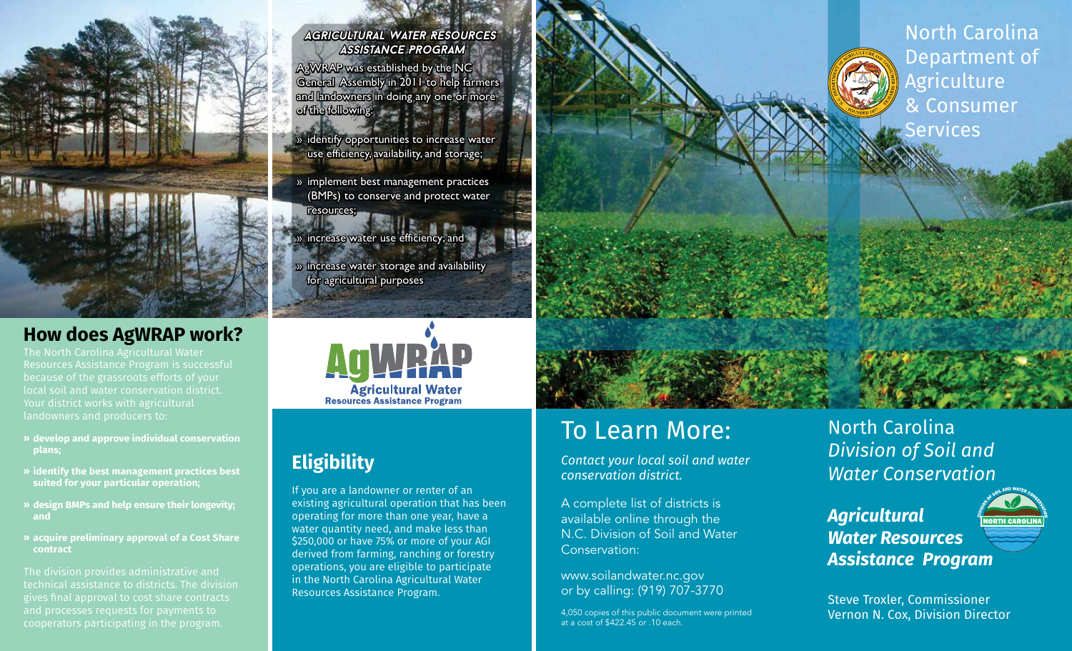

## **How does AgWRAP work?**

The North Carolina Agricultural Water Resources Assistance Program is successful because of the grassroots efforts of your local soil and water conservation district. Your district works with agricultural landowners and producers to:

- **» develop and approve individual conservation plans;**
- **» identify the best management practices best suited for your particular operation;**
- **» design BMPs and help ensure their longevity; and**
- **» acquire preliminary approval of a Cost Share contract**

The division provides administrative and technical assistance to districts. The division gives final approval to cost share contracts and processes requests for payments to

#### *Agricultural Water Resources Assistance Program*

AgWRAP was established by the NC General Assembly in 2011 to help farmers and landowners in doing any one or more of the following:

- » identify opportunities to increase water use efficiency, availability, and storage;
- » implement best management practices (BMPs) to conserve and protect water
- resources;  $\rightarrow$  » increase water use efficiency; and
- » increase water storage and availability for agricultural purposes



## **Eligibility**

If you are a landowner or renter of an existing agricultural operation that has been operating for more than one year, have a water quantity need, and make less than \$250,000 or have 75% or more of your AGI derived from farming, ranching or forestry operations, you are eligible to participate in the North Carolina Agricultural Water Resources Assistance Program.

# To Learn More:

*Contact your local soil and water conservation district.* 

A complete list of districts is available online through the N.C. Division of Soil and Water Conservation:

www.soilandwater.nc.gov or by calling: (919) 707-3770

4,050 copies of this public document were printed at a cost of \$422.45 or .10 each.





*Agricultural Water Resources Assistance Program*



Steve Troxler, Commissioner Vernon N. Cox, Division Director